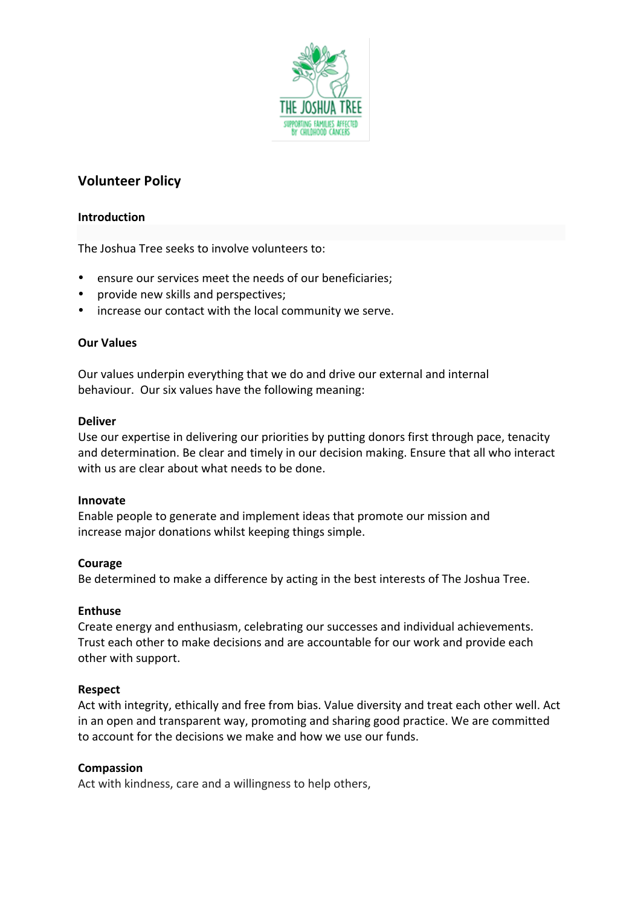

# **Volunteer Policy**

### **Introduction**

The Joshua Tree seeks to involve volunteers to:

- ensure our services meet the needs of our beneficiaries;
- provide new skills and perspectives;
- increase our contact with the local community we serve.

### **Our Values**

Our values underpin everything that we do and drive our external and internal behaviour. Our six values have the following meaning:

### **Deliver**

Use our expertise in delivering our priorities by putting donors first through pace, tenacity and determination. Be clear and timely in our decision making. Ensure that all who interact with us are clear about what needs to be done.

### **Innovate**

Enable people to generate and implement ideas that promote our mission and increase major donations whilst keeping things simple.

### **Courage**

Be determined to make a difference by acting in the best interests of The Joshua Tree.

### **Enthuse**

Create energy and enthusiasm, celebrating our successes and individual achievements. Trust each other to make decisions and are accountable for our work and provide each other with support.

### **Respect**

Act with integrity, ethically and free from bias. Value diversity and treat each other well. Act in an open and transparent way, promoting and sharing good practice. We are committed to account for the decisions we make and how we use our funds.

### **Compassion**

Act with kindness, care and a willingness to help others,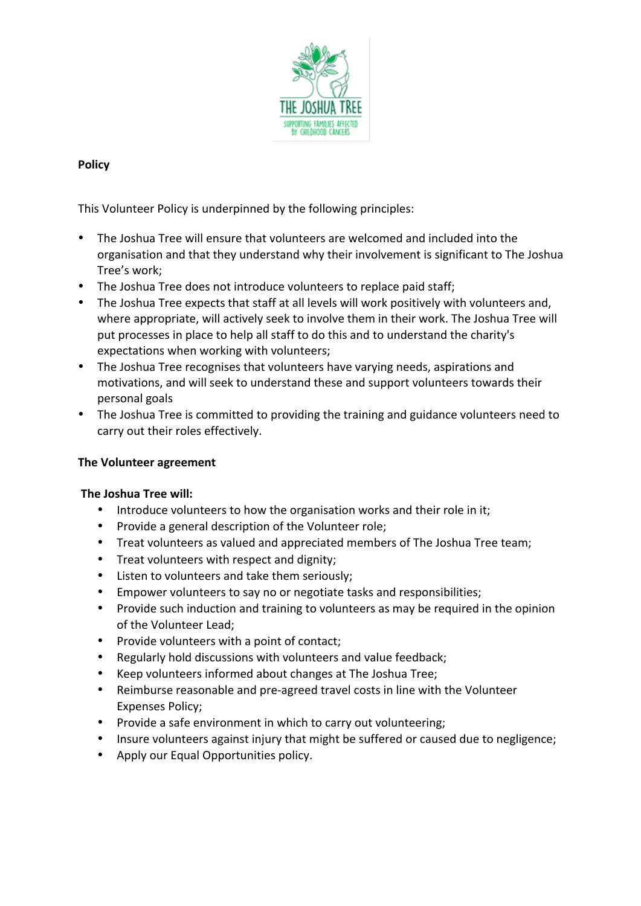

# **Policy**

This Volunteer Policy is underpinned by the following principles:

- The Joshua Tree will ensure that volunteers are welcomed and included into the organisation and that they understand why their involvement is significant to The Joshua Tree's work:
- The Joshua Tree does not introduce volunteers to replace paid staff;
- The Joshua Tree expects that staff at all levels will work positively with volunteers and, where appropriate, will actively seek to involve them in their work. The Joshua Tree will put processes in place to help all staff to do this and to understand the charity's expectations when working with volunteers;
- The Joshua Tree recognises that volunteers have varying needs, aspirations and motivations, and will seek to understand these and support volunteers towards their personal goals
- The Joshua Tree is committed to providing the training and guidance volunteers need to carry out their roles effectively.

## **The Volunteer agreement**

## **The Joshua Tree will:**

- Introduce volunteers to how the organisation works and their role in it;
- Provide a general description of the Volunteer role;
- Treat volunteers as valued and appreciated members of The Joshua Tree team;
- Treat volunteers with respect and dignity;
- Listen to volunteers and take them seriously;
- Empower volunteers to say no or negotiate tasks and responsibilities;
- Provide such induction and training to volunteers as may be required in the opinion of the Volunteer Lead;
- Provide volunteers with a point of contact;
- Regularly hold discussions with volunteers and value feedback;
- Keep volunteers informed about changes at The Joshua Tree;
- Reimburse reasonable and pre-agreed travel costs in line with the Volunteer Expenses Policy;
- Provide a safe environment in which to carry out volunteering;
- Insure volunteers against injury that might be suffered or caused due to negligence;
- Apply our Equal Opportunities policy.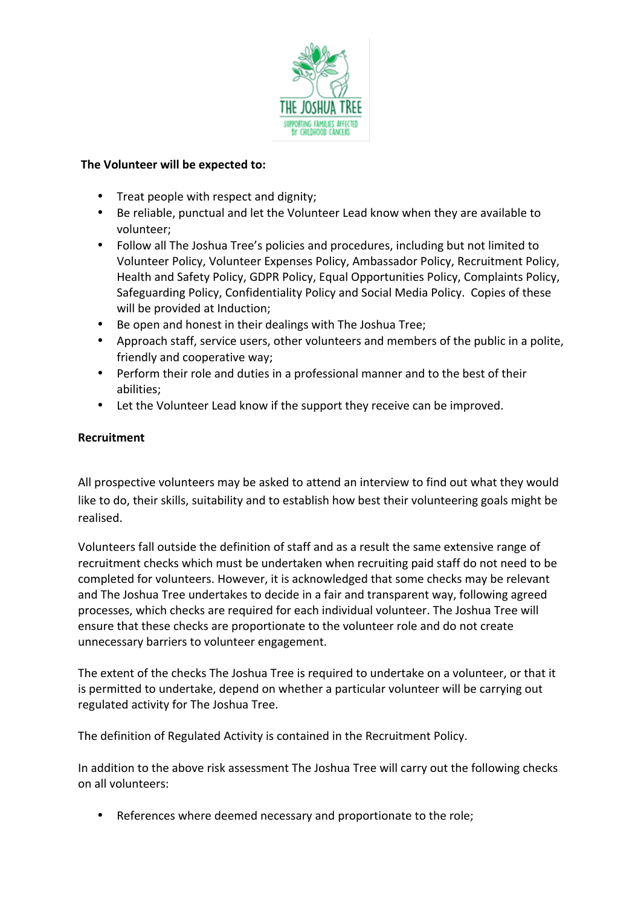

## **The Volunteer will be expected to:**

- Treat people with respect and dignity;
- Be reliable, punctual and let the Volunteer Lead know when they are available to volunteer;
- Follow all The Joshua Tree's policies and procedures, including but not limited to Volunteer Policy, Volunteer Expenses Policy, Ambassador Policy, Recruitment Policy, Health and Safety Policy, GDPR Policy, Equal Opportunities Policy, Complaints Policy, Safeguarding Policy, Confidentiality Policy and Social Media Policy. Copies of these will be provided at Induction;
- Be open and honest in their dealings with The Joshua Tree;
- Approach staff, service users, other volunteers and members of the public in a polite, friendly and cooperative way;
- Perform their role and duties in a professional manner and to the best of their abilities;
- Let the Volunteer Lead know if the support they receive can be improved.

# **Recruitment**

All prospective volunteers may be asked to attend an interview to find out what they would like to do, their skills, suitability and to establish how best their volunteering goals might be realised. 

Volunteers fall outside the definition of staff and as a result the same extensive range of recruitment checks which must be undertaken when recruiting paid staff do not need to be completed for volunteers. However, it is acknowledged that some checks may be relevant and The Joshua Tree undertakes to decide in a fair and transparent way, following agreed processes, which checks are required for each individual volunteer. The Joshua Tree will ensure that these checks are proportionate to the volunteer role and do not create unnecessary barriers to volunteer engagement.

The extent of the checks The Joshua Tree is required to undertake on a volunteer, or that it is permitted to undertake, depend on whether a particular volunteer will be carrying out regulated activity for The Joshua Tree.

The definition of Regulated Activity is contained in the Recruitment Policy.

In addition to the above risk assessment The Joshua Tree will carry out the following checks on all volunteers:

• References where deemed necessary and proportionate to the role;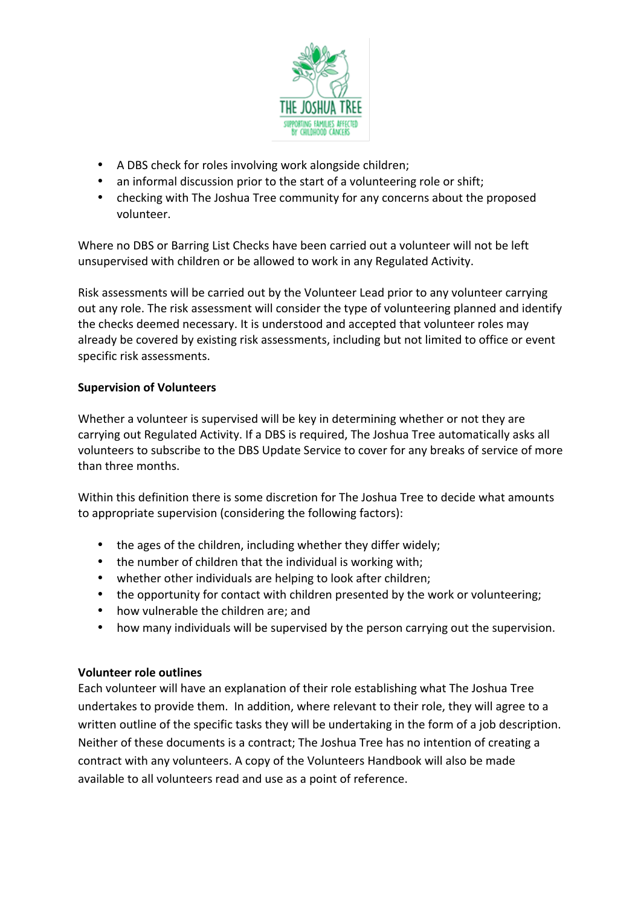

- A DBS check for roles involving work alongside children;
- an informal discussion prior to the start of a volunteering role or shift;
- checking with The Joshua Tree community for any concerns about the proposed volunteer.

Where no DBS or Barring List Checks have been carried out a volunteer will not be left unsupervised with children or be allowed to work in any Regulated Activity.

Risk assessments will be carried out by the Volunteer Lead prior to any volunteer carrying out any role. The risk assessment will consider the type of volunteering planned and identify the checks deemed necessary. It is understood and accepted that volunteer roles may already be covered by existing risk assessments, including but not limited to office or event specific risk assessments.

# **Supervision of Volunteers**

Whether a volunteer is supervised will be key in determining whether or not they are carrying out Regulated Activity. If a DBS is required, The Joshua Tree automatically asks all volunteers to subscribe to the DBS Update Service to cover for any breaks of service of more than three months.

Within this definition there is some discretion for The Joshua Tree to decide what amounts to appropriate supervision (considering the following factors):

- the ages of the children, including whether they differ widely;
- $\bullet$  the number of children that the individual is working with;
- whether other individuals are helping to look after children;
- the opportunity for contact with children presented by the work or volunteering;
- how vulnerable the children are; and
- how many individuals will be supervised by the person carrying out the supervision.

## **Volunteer role outlines**

Each volunteer will have an explanation of their role establishing what The Joshua Tree undertakes to provide them. In addition, where relevant to their role, they will agree to a written outline of the specific tasks they will be undertaking in the form of a job description. Neither of these documents is a contract; The Joshua Tree has no intention of creating a contract with any volunteers. A copy of the Volunteers Handbook will also be made available to all volunteers read and use as a point of reference.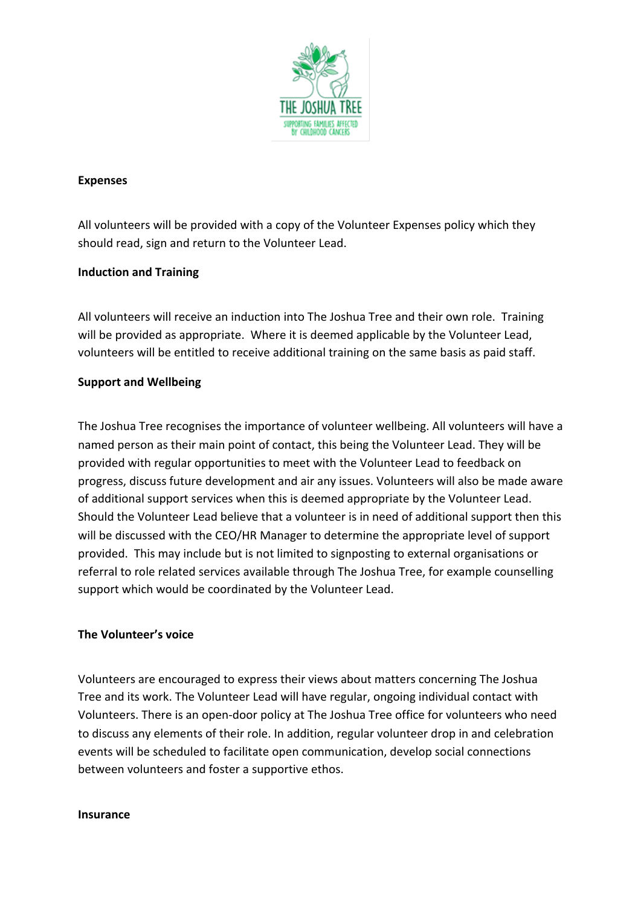

### **Expenses**

All volunteers will be provided with a copy of the Volunteer Expenses policy which they should read, sign and return to the Volunteer Lead.

### **Induction and Training**

All volunteers will receive an induction into The Joshua Tree and their own role. Training will be provided as appropriate. Where it is deemed applicable by the Volunteer Lead, volunteers will be entitled to receive additional training on the same basis as paid staff.

### **Support and Wellbeing**

The Joshua Tree recognises the importance of volunteer wellbeing. All volunteers will have a named person as their main point of contact, this being the Volunteer Lead. They will be provided with regular opportunities to meet with the Volunteer Lead to feedback on progress, discuss future development and air any issues. Volunteers will also be made aware of additional support services when this is deemed appropriate by the Volunteer Lead. Should the Volunteer Lead believe that a volunteer is in need of additional support then this will be discussed with the CEO/HR Manager to determine the appropriate level of support provided. This may include but is not limited to signposting to external organisations or referral to role related services available through The Joshua Tree, for example counselling support which would be coordinated by the Volunteer Lead.

### **The Volunteer's voice**

Volunteers are encouraged to express their views about matters concerning The Joshua Tree and its work. The Volunteer Lead will have regular, ongoing individual contact with Volunteers. There is an open-door policy at The Joshua Tree office for volunteers who need to discuss any elements of their role. In addition, regular volunteer drop in and celebration events will be scheduled to facilitate open communication, develop social connections between volunteers and foster a supportive ethos.

### **Insurance**